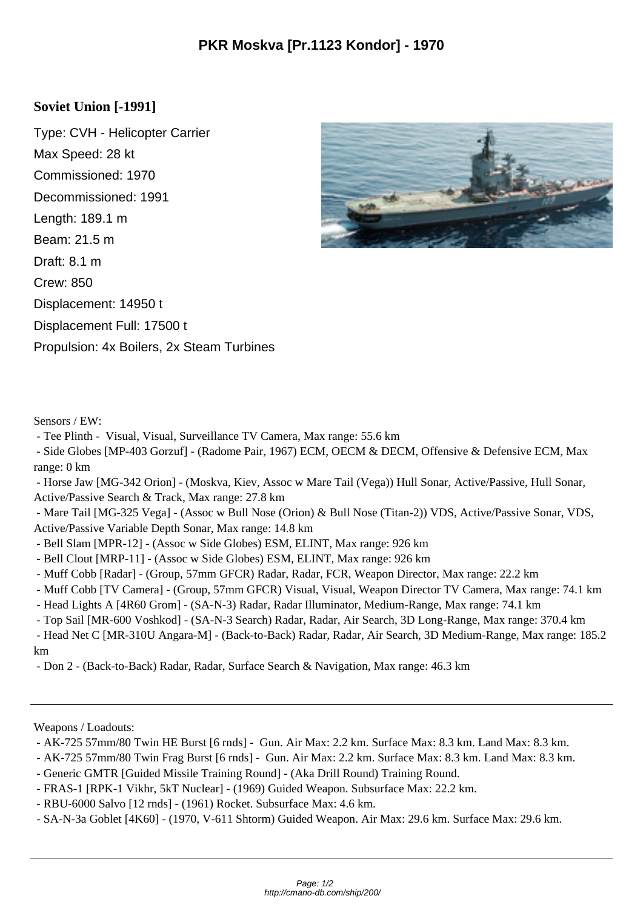## **Soviet Union [-1991]**

Type: CVH - Helicopter Carrier Max Speed: 28 kt Commissioned: 1970 Decommissioned: 1991 Length: 189.1 m Beam: 21.5 m Draft: 8.1 m Crew: 850 Displacement: 14950 t Displacement Full: 17500 t Propulsion: 4x Boilers, 2x Steam Turbines



Sensors / EW:

- Tee Plinth - Visual, Visual, Surveillance TV Camera, Max range: 55.6 km

 - Side Globes [MP-403 Gorzuf] - (Radome Pair, 1967) ECM, OECM & DECM, Offensive & Defensive ECM, Max range: 0 km

 - Horse Jaw [MG-342 Orion] - (Moskva, Kiev, Assoc w Mare Tail (Vega)) Hull Sonar, Active/Passive, Hull Sonar, Active/Passive Search & Track, Max range: 27.8 km

 - Mare Tail [MG-325 Vega] - (Assoc w Bull Nose (Orion) & Bull Nose (Titan-2)) VDS, Active/Passive Sonar, VDS, Active/Passive Variable Depth Sonar, Max range: 14.8 km

- Bell Slam [MPR-12] - (Assoc w Side Globes) ESM, ELINT, Max range: 926 km

- Bell Clout [MRP-11] (Assoc w Side Globes) ESM, ELINT, Max range: 926 km
- Muff Cobb [Radar] (Group, 57mm GFCR) Radar, Radar, FCR, Weapon Director, Max range: 22.2 km
- Muff Cobb [TV Camera] (Group, 57mm GFCR) Visual, Visual, Weapon Director TV Camera, Max range: 74.1 km
- Head Lights A [4R60 Grom] (SA-N-3) Radar, Radar Illuminator, Medium-Range, Max range: 74.1 km
- Top Sail [MR-600 Voshkod] (SA-N-3 Search) Radar, Radar, Air Search, 3D Long-Range, Max range: 370.4 km

 - Head Net C [MR-310U Angara-M] - (Back-to-Back) Radar, Radar, Air Search, 3D Medium-Range, Max range: 185.2 km

- Don 2 - (Back-to-Back) Radar, Radar, Surface Search & Navigation, Max range: 46.3 km

Weapons / Loadouts:

- AK-725 57mm/80 Twin HE Burst [6 rnds] Gun. Air Max: 2.2 km. Surface Max: 8.3 km. Land Max: 8.3 km.
- AK-725 57mm/80 Twin Frag Burst [6 rnds] Gun. Air Max: 2.2 km. Surface Max: 8.3 km. Land Max: 8.3 km.
- Generic GMTR [Guided Missile Training Round] (Aka Drill Round) Training Round.
- FRAS-1 [RPK-1 Vikhr, 5kT Nuclear] (1969) Guided Weapon. Subsurface Max: 22.2 km.
- RBU-6000 Salvo [12 rnds] (1961) Rocket. Subsurface Max: 4.6 km.
- SA-N-3a Goblet [4K60] (1970, V-611 Shtorm) Guided Weapon. Air Max: 29.6 km. Surface Max: 29.6 km.